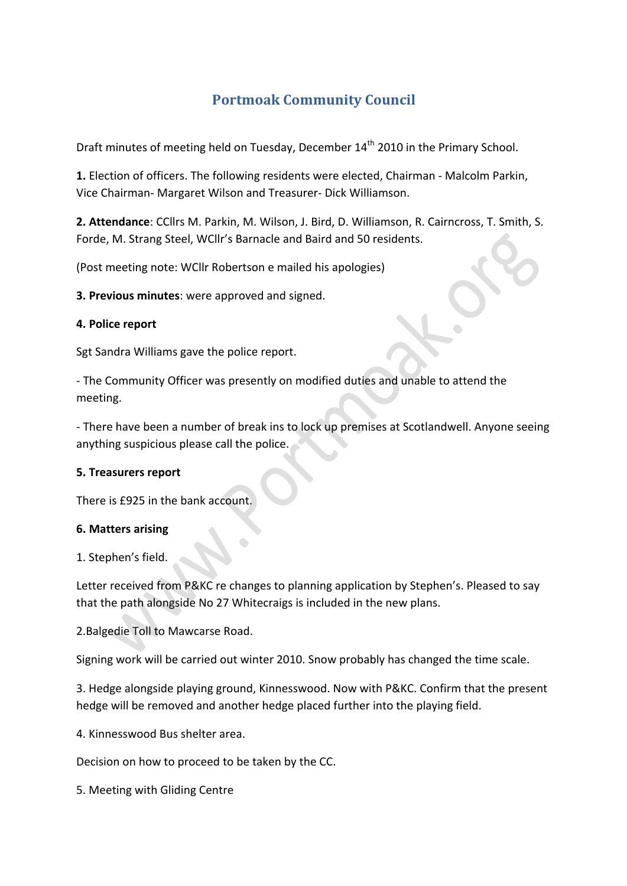# **Portmoak Community Council**

Draft minutes of meeting held on Tuesday, December 14<sup>th</sup> 2010 in the Primary School.

1. Election of officers. The following residents were elected, Chairman - Malcolm Parkin, Vice Chairman- Margaret Wilson and Treasurer- Dick Williamson.

2. Attendance: CCllrs M. Parkin, M. Wilson, J. Bird, D. Williamson, R. Cairncross, T. Smith, S. Forde, M. Strang Steel, WCllr's Barnacle and Baird and 50 residents.

(Post meeting note: WCllr Robertson e mailed his apologies)

 $\triangle$ 

**3. Previous minutes:** were approved and signed.

#### **4. Police report**

Sgt Sandra Williams gave the police report.

- The Community Officer was presently on modified duties and unable to attend the meeting.

- There have been a number of break ins to lock up premises at Scotlandwell. Anyone seeing anything suspicious please call the police.

#### **5. Treasurers report**

There is £925 in the bank account.

#### **6.#Matters#arising**

1. Stephen's field.

Letter received from P&KC re changes to planning application by Stephen's. Pleased to say that the path alongside No 27 Whitecraigs is included in the new plans.

2. Balgedie Toll to Mawcarse Road.

Signing work will be carried out winter 2010. Snow probably has changed the time scale.

3. Hedge alongside playing ground, Kinnesswood. Now with P&KC. Confirm that the present hedge will be removed and another hedge placed further into the playing field.

4. Kinnesswood Bus shelter area.

Decision on how to proceed to be taken by the CC.

5. Meeting with Gliding Centre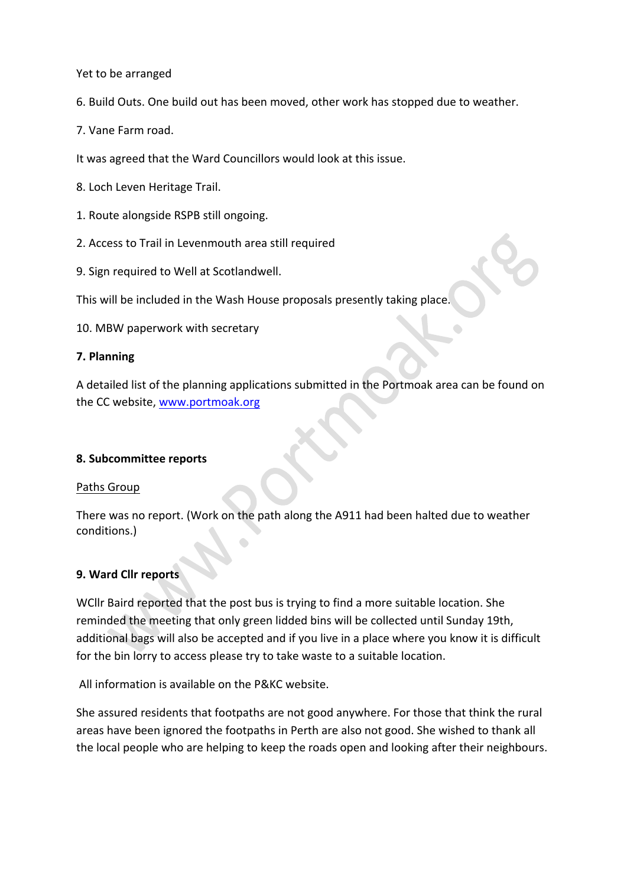Yet to be arranged

6. Build Outs. One build out has been moved, other work has stopped due to weather.

7. Vane Farm road.

It was agreed that the Ward Councillors would look at this issue.

8. Loch Leven Heritage Trail.

- 1. Route alongside RSPB still ongoing.
- 2. Access to Trail in Levenmouth area still required
- 9. Sign required to Well at Scotlandwell.

This will be included in the Wash House proposals presently taking place.

10. MBW paperwork with secretary

#### **7.#Planning**

A detailed list of the planning applications submitted in the Portmoak area can be found on the CC website, www.portmoak.org

#### **8.#Subcommittee reports**

#### Paths Group

There was no report. (Work on the path along the A911 had been halted due to weather conditions.)

#### **9. Ward Cllr reports**

WCllr Baird reported that the post bus is trying to find a more suitable location. She reminded the meeting that only green lidded bins will be collected until Sunday 19th, additional bags will also be accepted and if you live in a place where you know it is difficult for the bin lorry to access please try to take waste to a suitable location.

All information is available on the P&KC website.

She assured residents that footpaths are not good anywhere. For those that think the rural areas have been ignored the footpaths in Perth are also not good. She wished to thank all the local people who are helping to keep the roads open and looking after their neighbours.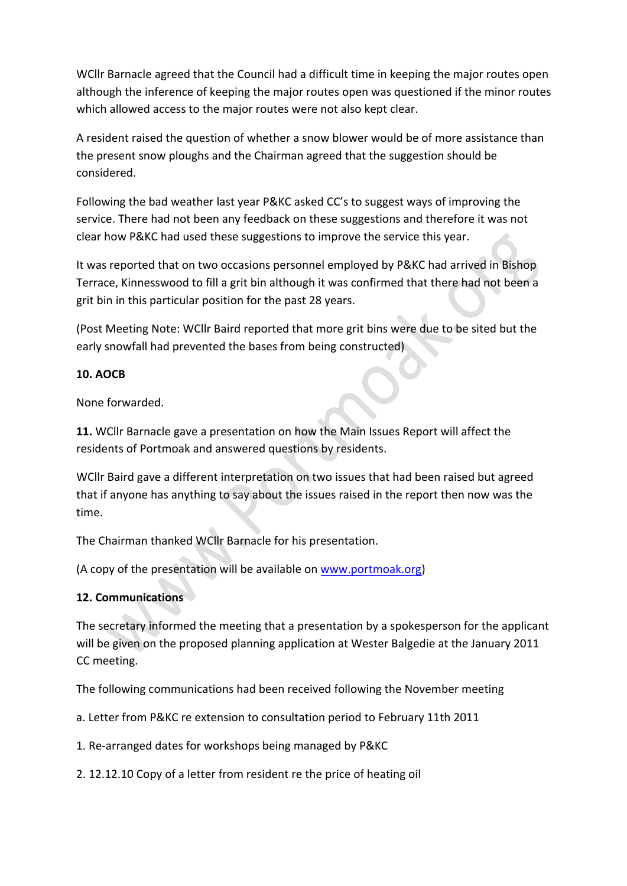WCIIr Barnacle agreed that the Council had a difficult time in keeping the major routes open although the inference of keeping the major routes open was questioned if the minor routes which allowed access to the major routes were not also kept clear.

A resident raised the question of whether a snow blower would be of more assistance than the present snow ploughs and the Chairman agreed that the suggestion should be considered.

Following the bad weather last year P&KC asked CC's to suggest ways of improving the service. There had not been any feedback on these suggestions and therefore it was not clear how P&KC had used these suggestions to improve the service this year.

It was reported that on two occasions personnel employed by P&KC had arrived in Bishop Terrace, Kinnesswood to fill a grit bin although it was confirmed that there had not been a grit bin in this particular position for the past 28 years.

(Post Meeting Note: WCllr Baird reported that more grit bins were due to be sited but the early snowfall had prevented the bases from being constructed)

### **10. AOCB**

None forwarded.

11. WCllr Barnacle gave a presentation on how the Main Issues Report will affect the residents of Portmoak and answered questions by residents.

WCllr Baird gave a different interpretation on two issues that had been raised but agreed that if anyone has anything to say about the issues raised in the report then now was the time.

The Chairman thanked WCllr Barnacle for his presentation.

(A copy of the presentation will be available on www.portmoak.org)

## **12. Communications**

The secretary informed the meeting that a presentation by a spokesperson for the applicant will be given on the proposed planning application at Wester Balgedie at the January 2011 CC meeting.

The following communications had been received following the November meeting

a. Letter from P&KC re extension to consultation period to February 11th 2011

1. Re-arranged dates for workshops being managed by P&KC

2. 12.12.10 Copy of a letter from resident re the price of heating oil